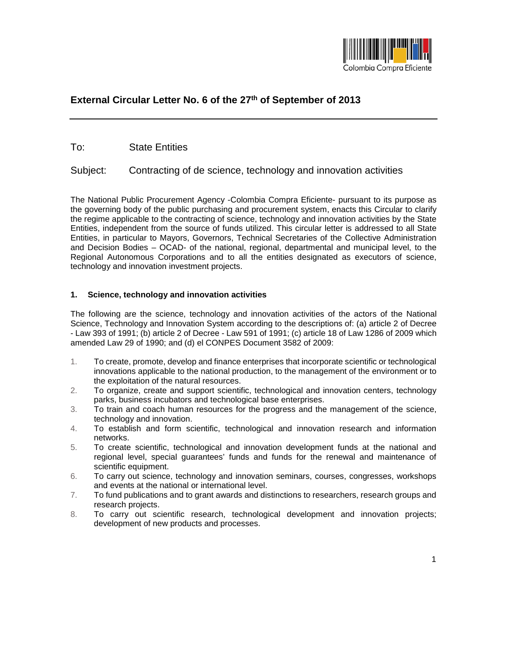

# **External Circular Letter No. 6 of the 27th of September of 2013**

To: State Entities

Subject: Contracting of de science, technology and innovation activities

The National Public Procurement Agency -Colombia Compra Eficiente- pursuant to its purpose as the governing body of the public purchasing and procurement system, enacts this Circular to clarify the regime applicable to the contracting of science, technology and innovation activities by the State Entities, independent from the source of funds utilized. This circular letter is addressed to all State Entities, in particular to Mayors, Governors, Technical Secretaries of the Collective Administration and Decision Bodies – OCAD- of the national, regional, departmental and municipal level, to the Regional Autonomous Corporations and to all the entities designated as executors of science, technology and innovation investment projects.

# **1. Science, technology and innovation activities**

The following are the science, technology and innovation activities of the actors of the National Science, Technology and Innovation System according to the descriptions of: (a) article 2 of Decree - Law 393 of 1991; (b) article 2 of Decree - Law 591 of 1991; (c) article 18 of Law 1286 of 2009 which amended Law 29 of 1990; and (d) el CONPES Document 3582 of 2009:

- 1. To create, promote, develop and finance enterprises that incorporate scientific or technological innovations applicable to the national production, to the management of the environment or to the exploitation of the natural resources.
- 2. To organize, create and support scientific, technological and innovation centers, technology parks, business incubators and technological base enterprises.
- 3. To train and coach human resources for the progress and the management of the science, technology and innovation.
- 4. To establish and form scientific, technological and innovation research and information networks.
- 5. To create scientific, technological and innovation development funds at the national and regional level, special guarantees' funds and funds for the renewal and maintenance of scientific equipment.
- 6. To carry out science, technology and innovation seminars, courses, congresses, workshops and events at the national or international level.
- 7. To fund publications and to grant awards and distinctions to researchers, research groups and research projects.
- 8. To carry out scientific research, technological development and innovation projects; development of new products and processes.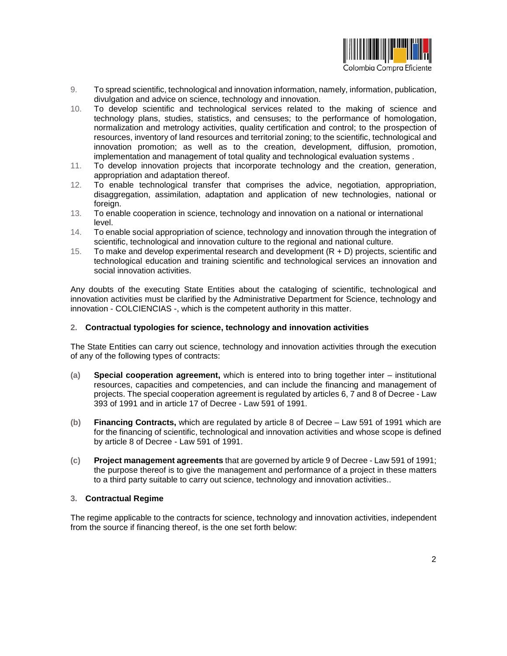

- 9. To spread scientific, technological and innovation information, namely, information, publication, divulgation and advice on science, technology and innovation.
- 10. To develop scientific and technological services related to the making of science and technology plans, studies, statistics, and censuses; to the performance of homologation, normalization and metrology activities, quality certification and control; to the prospection of resources, inventory of land resources and territorial zoning; to the scientific, technological and innovation promotion; as well as to the creation, development, diffusion, promotion, implementation and management of total quality and technological evaluation systems .
- 11. To develop innovation projects that incorporate technology and the creation, generation, appropriation and adaptation thereof.
- 12. To enable technological transfer that comprises the advice, negotiation, appropriation, disaggregation, assimilation, adaptation and application of new technologies, national or foreign.
- 13. To enable cooperation in science, technology and innovation on a national or international level.
- 14. To enable social appropriation of science, technology and innovation through the integration of scientific, technological and innovation culture to the regional and national culture.
- 15. To make and develop experimental research and development (R + D) projects, scientific and technological education and training scientific and technological services an innovation and social innovation activities.

Any doubts of the executing State Entities about the cataloging of scientific, technological and innovation activities must be clarified by the Administrative Department for Science, technology and innovation - COLCIENCIAS -, which is the competent authority in this matter.

## **2. Contractual typologies for science, technology and innovation activities**

The State Entities can carry out science, technology and innovation activities through the execution of any of the following types of contracts:

- **(a) Special cooperation agreement,** which is entered into to bring together inter institutional resources, capacities and competencies, and can include the financing and management of projects. The special cooperation agreement is regulated by articles 6, 7 and 8 of Decree - Law 393 of 1991 and in article 17 of Decree - Law 591 of 1991.
- **(b) Financing Contracts,** which are regulated by article 8 of Decree Law 591 of 1991 which are for the financing of scientific, technological and innovation activities and whose scope is defined by article 8 of Decree - Law 591 of 1991.
- **(c) Project management agreements** that are governed by article 9 of Decree Law 591 of 1991; the purpose thereof is to give the management and performance of a project in these matters to a third party suitable to carry out science, technology and innovation activities..

### **3. Contractual Regime**

The regime applicable to the contracts for science, technology and innovation activities, independent from the source if financing thereof, is the one set forth below: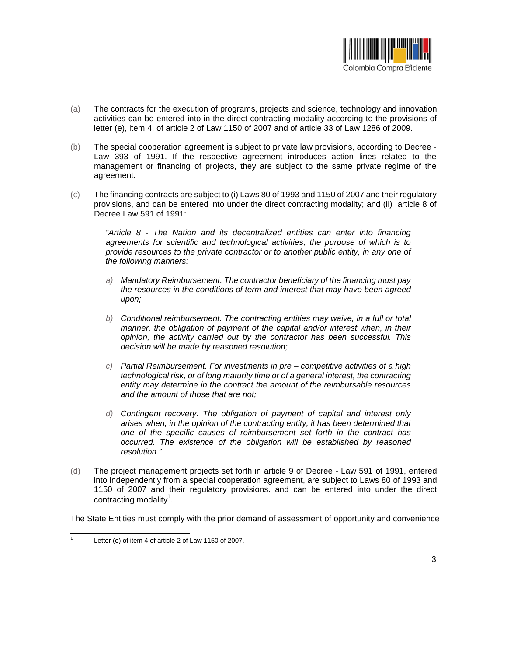

- (a) The contracts for the execution of programs, projects and science, technology and innovation activities can be entered into in the direct contracting modality according to the provisions of letter (e), item 4, of article 2 of Law 1150 of 2007 and of article 33 of Law 1286 of 2009.
- (b) The special cooperation agreement is subject to private law provisions, according to Decree Law 393 of 1991. If the respective agreement introduces action lines related to the management or financing of projects, they are subject to the same private regime of the agreement.
- (c) The financing contracts are subject to (i) Laws 80 of 1993 and 1150 of 2007 and their regulatory provisions, and can be entered into under the direct contracting modality; and (ii) article 8 of Decree Law 591 of 1991:

*"Article 8 - The Nation and its decentralized entities can enter into financing agreements for scientific and technological activities, the purpose of which is to provide resources to the private contractor or to another public entity, in any one of the following manners:*

- *a) Mandatory Reimbursement. The contractor beneficiary of the financing must pay the resources in the conditions of term and interest that may have been agreed upon;*
- *b) Conditional reimbursement. The contracting entities may waive, in a full or total manner, the obligation of payment of the capital and/or interest when, in their opinion, the activity carried out by the contractor has been successful. This decision will be made by reasoned resolution;*
- *c) Partial Reimbursement. For investments in pre – competitive activities of a high technological risk, or of long maturity time or of a general interest, the contracting entity may determine in the contract the amount of the reimbursable resources and the amount of those that are not;*
- *d) Contingent recovery. The obligation of payment of capital and interest only arises when, in the opinion of the contracting entity, it has been determined that one of the specific causes of reimbursement set forth in the contract has occurred. The existence of the obligation will be established by reasoned resolution."*
- (d) The project management projects set forth in article 9 of Decree Law 591 of 1991, entered into independently from a special cooperation agreement, are subject to Laws 80 of 1993 and 1150 of 2007 and their regulatory provisions. and can be entered into under the direct contracting modality<sup>1</sup>.

The State Entities must comply with the prior demand of assessment of opportunity and convenience

<sup>1</sup> Letter (e) of item 4 of article 2 of Law 1150 of 2007.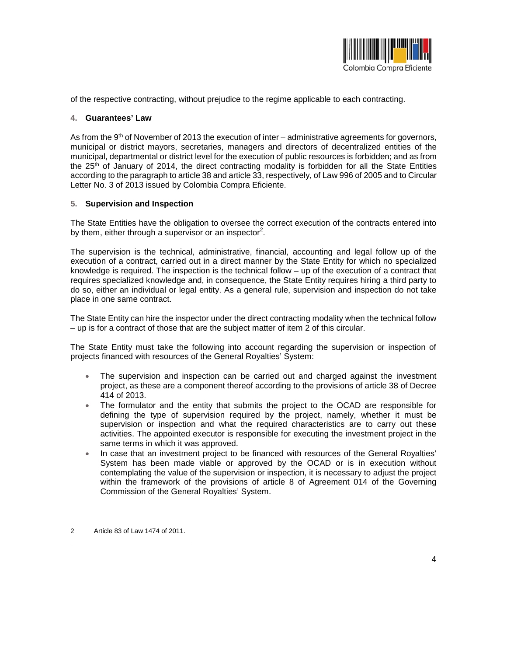

of the respective contracting, without prejudice to the regime applicable to each contracting.

#### **4. Guarantees' Law**

As from the 9<sup>th</sup> of November of 2013 the execution of inter – administrative agreements for governors, municipal or district mayors, secretaries, managers and directors of decentralized entities of the municipal, departmental or district level for the execution of public resources is forbidden; and as from the 25th of January of 2014, the direct contracting modality is forbidden for all the State Entities according to the paragraph to article 38 and article 33, respectively, of Law 996 of 2005 and to Circular Letter No. 3 of 2013 issued by Colombia Compra Eficiente.

#### **5. Supervision and Inspection**

The State Entities have the obligation to oversee the correct execution of the contracts entered into by them, either through a supervisor or an inspector<sup>2</sup>.

The supervision is the technical, administrative, financial, accounting and legal follow up of the execution of a contract, carried out in a direct manner by the State Entity for which no specialized knowledge is required. The inspection is the technical follow – up of the execution of a contract that requires specialized knowledge and, in consequence, the State Entity requires hiring a third party to do so, either an individual or legal entity. As a general rule, supervision and inspection do not take place in one same contract.

The State Entity can hire the inspector under the direct contracting modality when the technical follow – up is for a contract of those that are the subject matter of item 2 of this circular.

The State Entity must take the following into account regarding the supervision or inspection of projects financed with resources of the General Royalties' System:

- The supervision and inspection can be carried out and charged against the investment project, as these are a component thereof according to the provisions of article 38 of Decree 414 of 2013.
- The formulator and the entity that submits the project to the OCAD are responsible for defining the type of supervision required by the project, namely, whether it must be supervision or inspection and what the required characteristics are to carry out these activities. The appointed executor is responsible for executing the investment project in the same terms in which it was approved.
- In case that an investment project to be financed with resources of the General Royalties' System has been made viable or approved by the OCAD or is in execution without contemplating the value of the supervision or inspection, it is necessary to adjust the project within the framework of the provisions of article 8 of Agreement 014 of the Governing Commission of the General Royalties' System.

<sup>2</sup> Article 83 of Law 1474 of 2011.